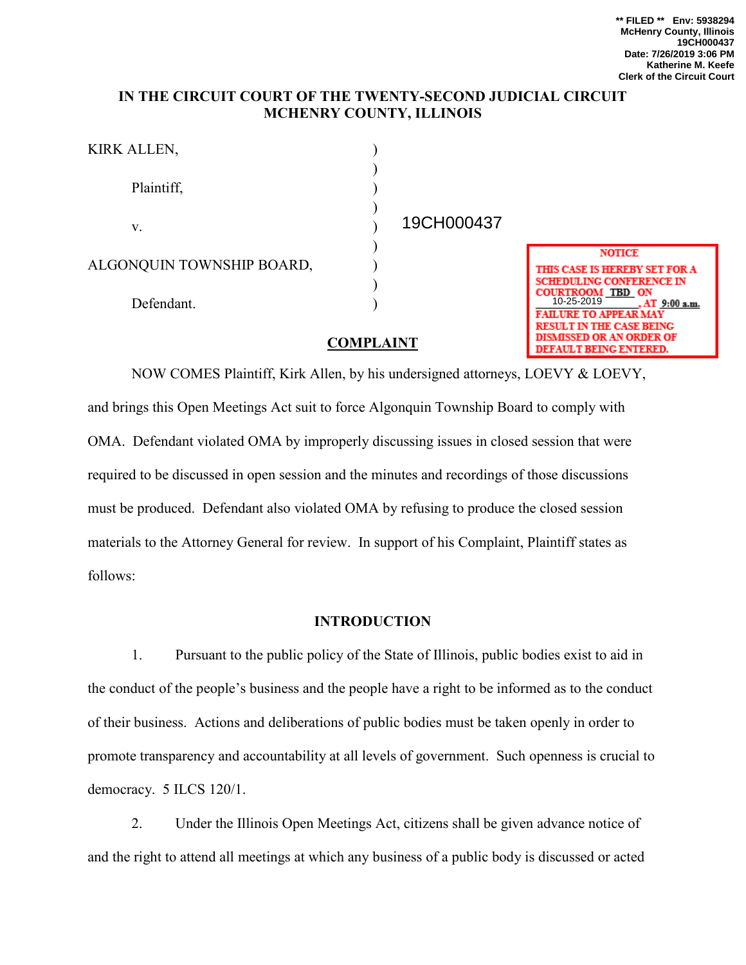## **IN THE CIRCUIT COURT OF THE TWENTY-SECOND JUDICIAL CIRCUIT MCHENRY COUNTY, ILLINOIS**

| KIRK ALLEN,               |  |
|---------------------------|--|
|                           |  |
| Plaintiff,                |  |
|                           |  |
| V.                        |  |
|                           |  |
| ALGONQUIN TOWNSHIP BOARD, |  |
|                           |  |
| Defendant.                |  |
|                           |  |

19CH000437



## **COMPLAINT**

NOW COMES Plaintiff, Kirk Allen, by his undersigned attorneys, LOEVY & LOEVY, and brings this Open Meetings Act suit to force Algonquin Township Board to comply with OMA. Defendant violated OMA by improperly discussing issues in closed session that were required to be discussed in open session and the minutes and recordings of those discussions must be produced. Defendant also violated OMA by refusing to produce the closed session materials to the Attorney General for review. In support of his Complaint, Plaintiff states as follows:

## **INTRODUCTION**

1. Pursuant to the public policy of the State of Illinois, public bodies exist to aid in the conduct of the people's business and the people have a right to be informed as to the conduct of their business. Actions and deliberations of public bodies must be taken openly in order to promote transparency and accountability at all levels of government. Such openness is crucial to democracy. 5 ILCS 120/1.

2. Under the Illinois Open Meetings Act, citizens shall be given advance notice of and the right to attend all meetings at which any business of a public body is discussed or acted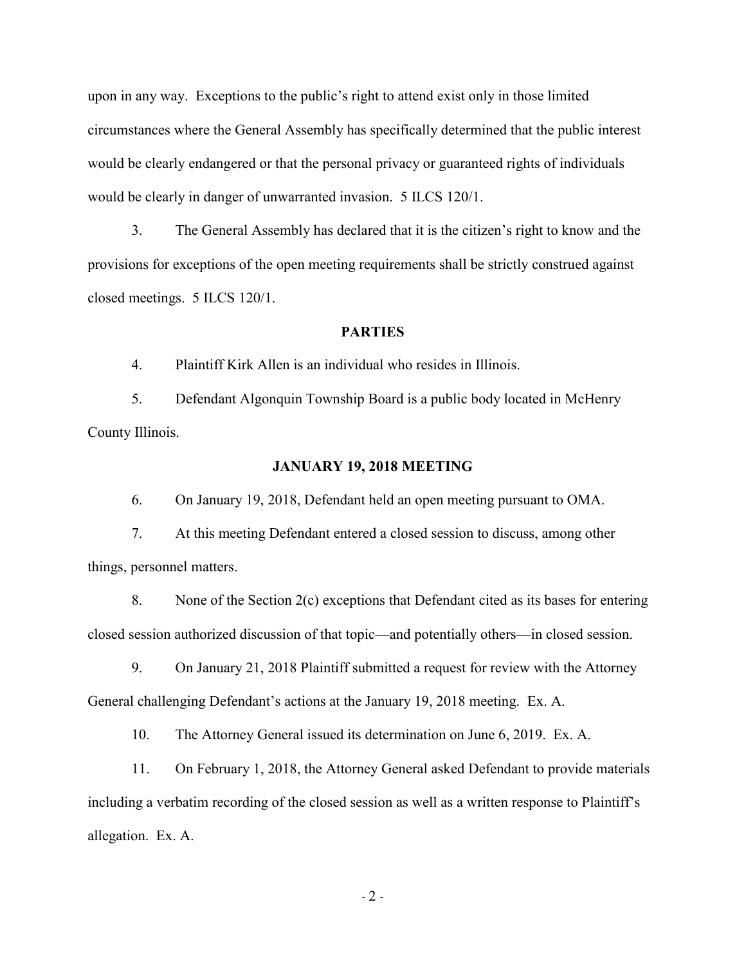upon in any way. Exceptions to the public's right to attend exist only in those limited circumstances where the General Assembly has specifically determined that the public interest would be clearly endangered or that the personal privacy or guaranteed rights of individuals would be clearly in danger of unwarranted invasion. 5 ILCS 120/1.

3. The General Assembly has declared that it is the citizen's right to know and the provisions for exceptions of the open meeting requirements shall be strictly construed against closed meetings. 5 ILCS 120/1.

## **PARTIES**

4. Plaintiff Kirk Allen is an individual who resides in Illinois.

5. Defendant Algonquin Township Board is a public body located in McHenry County Illinois.

### **JANUARY 19, 2018 MEETING**

6. On January 19, 2018, Defendant held an open meeting pursuant to OMA.

7. At this meeting Defendant entered a closed session to discuss, among other things, personnel matters.

8. None of the Section 2(c) exceptions that Defendant cited as its bases for entering closed session authorized discussion of that topic—and potentially others—in closed session.

9. On January 21, 2018 Plaintiff submitted a request for review with the Attorney General challenging Defendant's actions at the January 19, 2018 meeting. Ex. A.

10. The Attorney General issued its determination on June 6, 2019. Ex. A.

11. On February 1, 2018, the Attorney General asked Defendant to provide materials including a verbatim recording of the closed session as well as a written response to Plaintiff's allegation. Ex. A.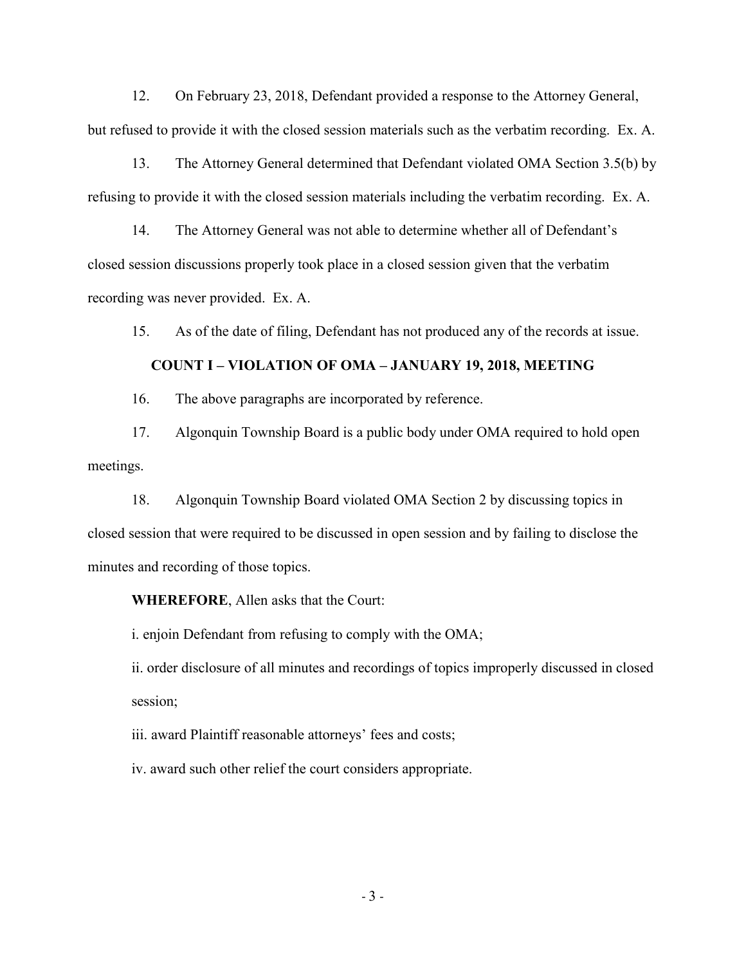12. On February 23, 2018, Defendant provided a response to the Attorney General, but refused to provide it with the closed session materials such as the verbatim recording. Ex. A.

13. The Attorney General determined that Defendant violated OMA Section 3.5(b) by refusing to provide it with the closed session materials including the verbatim recording. Ex. A.

14. The Attorney General was not able to determine whether all of Defendant's closed session discussions properly took place in a closed session given that the verbatim recording was never provided. Ex. A.

15. As of the date of filing, Defendant has not produced any of the records at issue.

## **COUNT I – VIOLATION OF OMA – JANUARY 19, 2018, MEETING**

16. The above paragraphs are incorporated by reference.

17. Algonquin Township Board is a public body under OMA required to hold open meetings.

18. Algonquin Township Board violated OMA Section 2 by discussing topics in closed session that were required to be discussed in open session and by failing to disclose the minutes and recording of those topics.

**WHEREFORE**, Allen asks that the Court:

i. enjoin Defendant from refusing to comply with the OMA;

ii. order disclosure of all minutes and recordings of topics improperly discussed in closed session;

iii. award Plaintiff reasonable attorneys' fees and costs;

iv. award such other relief the court considers appropriate.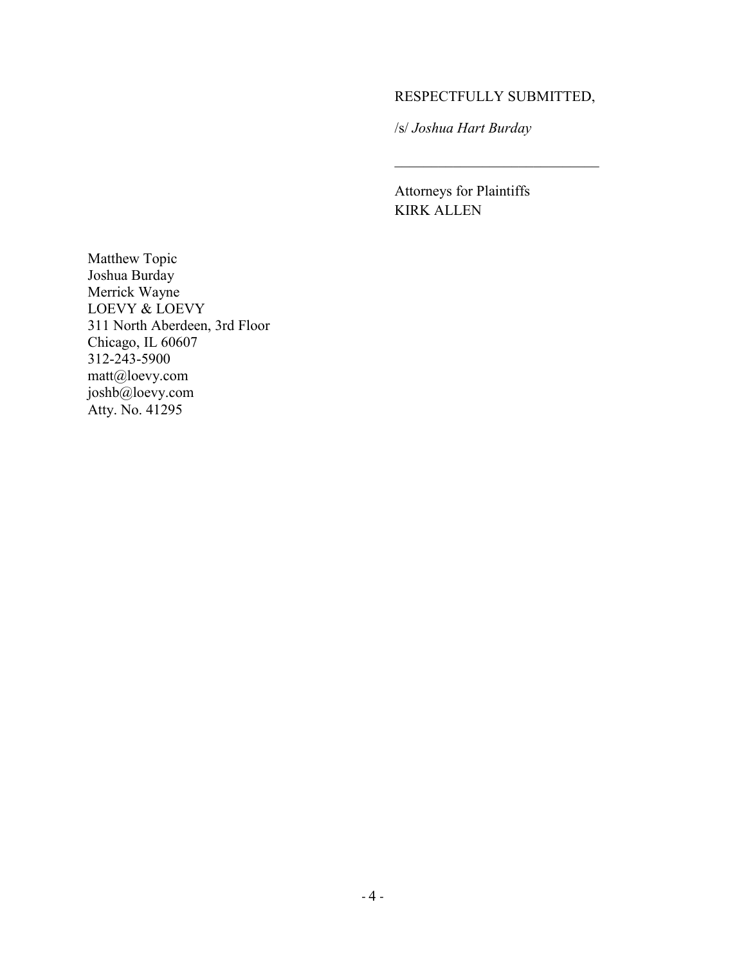# RESPECTFULLY SUBMITTED,

 $\overline{\mathcal{L}}$  , and the set of the set of the set of the set of the set of the set of the set of the set of the set of the set of the set of the set of the set of the set of the set of the set of the set of the set of the s

/s/ *Joshua Hart Burday*

Attorneys for Plaintiffs KIRK ALLEN

Matthew Topic Joshua Burday Merrick Wayne LOEVY & LOEVY 311 North Aberdeen, 3rd Floor Chicago, IL 60607 312-243-5900 matt@loevy.com joshb@loevy.com Atty. No. 41295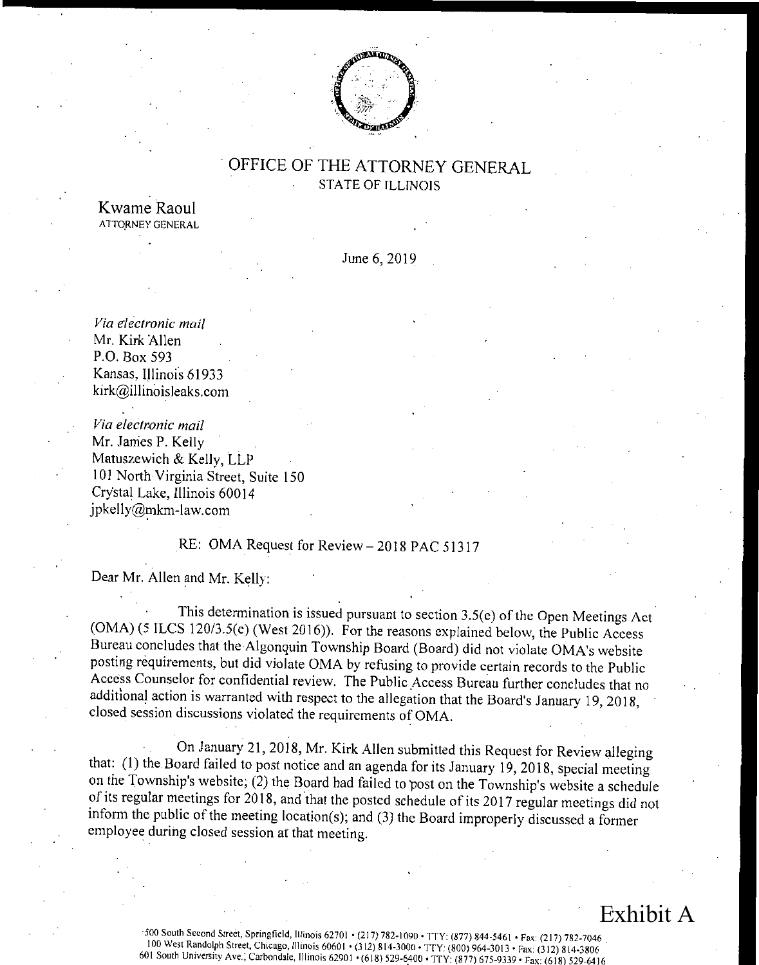

# OFFICE OF THE ATTORNEY GENERAL STATE OF ILLINOIS

Kwame Raoul ATTORNEY GENERAL

June 6, 2019

Via electronic mail Mr. Kirk Allen P.O. Box 593 Kansas, Illinois 61933 kirk@illinoisleaks.com

Via electronic mail Mr. James P. Kelly Matuszewich & Kelly, LLP <sup>101</sup> North Virginia Street, Suite 150 Crystal Lake, Illinois 60014 jpkelly@mkm-law.com

# RE: OMA Request for Review — 2018 PAC 51317

Dear Mr. Allen and Mr. Kelly:

This determination is issued pursuant to section  $3.5(e)$  of the Open Meetings Act  $(OMA)$  (5 ILCS 120/3.5(e) (West 2016)). For the reasons explained below, the Public Access Bureau concludes that the Algonquin Township Board (Board) did not violate OMA's website posting requirements, but did violate OMA by refusing to provide certain records to the Public Access Counselor for confidential review. The Public Access Bureau further concludes that no additional action is warranted with respect to the allegation that the Board's January 19, 2018, closed session discussions violated the requirements of OMA.

On January 21, 2018, Mr. Kirk Allen submitted this Request for Review alleging that: ( 1) the Board failed to post notice and an agenda for its January 19, 2018, special meeting on the Township's website; (2) the Board had failed to post on the Township's website a schedule of its regular meetings for 2018, and that the posted schedule of its 2017 regular meetings did not inform the public of the meeting location(s); and  $(3)$  the Board improperly discussed a former employee during closed session at that meeting.

# Exhibit A

500 South Second Street, Springfield, Illinois 62701 • ( 217) 782- 1090 • TTY: ( 877) 844- 5461 • Fax: ( 217) 782- 7046 . 100 West Randolph Street, Chicago, Illinois 60601 • ( 312) 814- 3000 • TTY: ( 800) 964- 3013 • Fax: ( 312) 814- 3806 <sup>601</sup> South University Ave.; Carbondale, Illinois 62901 • ( 618) 529- 6400 • TTY: ( 877) 675- 9339 • Fax: ( 618) 529- <sup>6416</sup>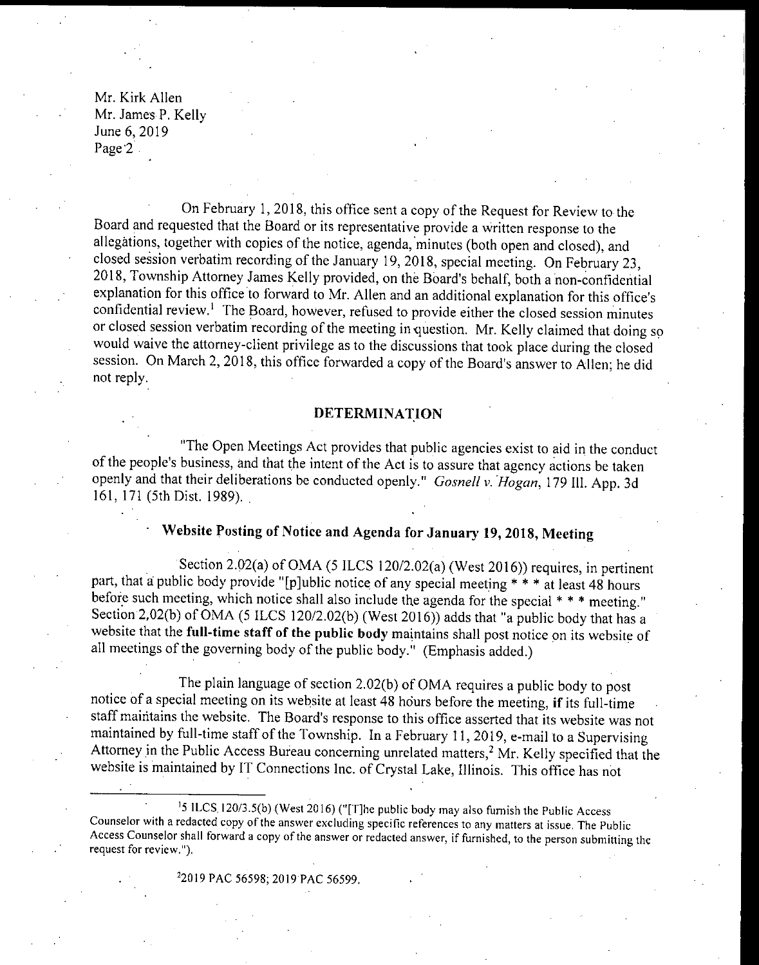Mr. Kirk Allen Mr. James P. Kelly June 6, 2019 Page 2.

On February 1, 2018, this office sent <sup>a</sup> copy of the Request for Review to the Board and requested that the Board or its representative provide a written response to the allegations, together with copies of the notice, agenda, minutes ( both open and closed), and closed session verbatim recording of the January 19, 2018, special meeting. On February 23, 2018, Township Attorney James Kelly provided, on the Board's behalf, both a non-confidential explanation for this office to forward to Mr. Allen and an additional explanation for this office's confidential review.' The Board, however, refused to provide either the closed session minutes or closed session verbatim recording of the meeting in question. Mr. Kelly claimed that doing so would waive the attorney- client privilege as to the discussions that took place during the closed session. On March 2, 2018, this office forwarded a copy of the Board's answer to Allen; he did not reply.

#### DETERMINATION

The Open Meetings Act provides that public agencies exist to aid in the conduct of the people's business, and that the intent of the Act is to assure that agency actions be taken openly and that their deliberations be conducted openly." Gosnell v. Hogan, 179 III. App. 3d 161, 171 (5th Dist. 1989).

# Website Posting of Notice and Agenda for January 19, 2018, Meeting

Section 2.02(a) of OMA (5 ILCS 120/2.02(a) (West 2016)) requires, in pertinent part, that a public body provide "[p]ublic notice of any special meeting \* \* \* at least 48 hours before such meeting, which notice shall also include the agenda for the special \* \* \* meeting." Section 2,02(b) of OMA (5 ILCS 120/2.02(b) (West 2016)) adds that "a public body that has a website that the full-time staff of the public body maintains shall post notice on its website of all meetings of the governing body of the public body." ( Emphasis added.)

The plain language of section 2.02(b) of OMA requires a public body to post notice of <sup>a</sup> special meeting on its website at least <sup>48</sup> hours before the meeting, if its full-time staff maintains the website. The Board's response to this office asserted that its website was not maintained by full-time staff of the Township. In a February 11, 2019, e-mail to a Supervising Attorney in the Public Access Bureau concerning unrelated matters,<sup>2</sup> Mr. Kelly specified that the website is maintained by IT Connections Inc. of Crystal Lake, Illinois. This office has not

<sup>1</sup>5 ILCS 120/3.5(b) (West 2016) ("[T] he public body may also furnish the Public Access Counselor with <sup>a</sup> redacted copy of the answer excluding specific references to any matters at issue. The Public Access Counselor shall forward <sup>a</sup> copy of the answer or redacted answer, if furnished, to the person submitting the request for review.").

22019 PAC 56598; 2019 PAC 56599.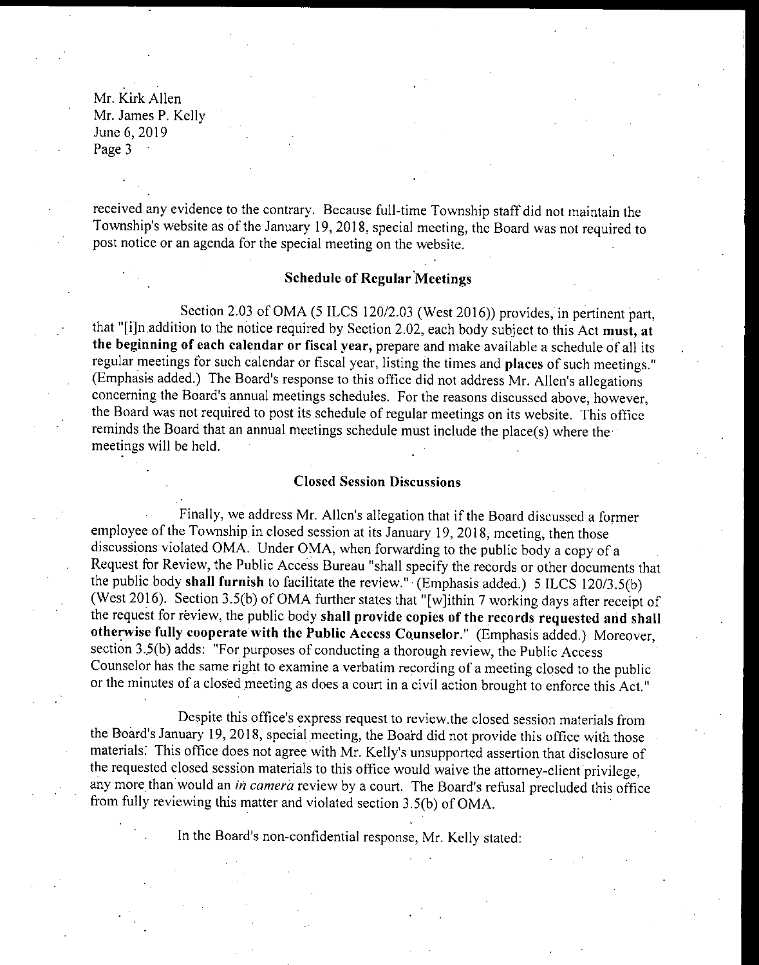Mr. Kirk Allen Mr. James P. Kelly June 6, 2019 Page 3

received any evidence to the contrary. Because full-time Township staff did not maintain the Township's website as of the January 19, 2018, special meeting, the Board was not required to post notice or an agenda for the special meeting on the website.

### Schedule of Regular Meetings

Section 2.03 of OMA (5 ILCS 120/2.03 (West 2016)) provides, in pertinent part, that "[i]n addition to the notice required by Section 2.02, each body subject to this Act must, at the beginning of each calendar or fiscal year, prepare and make available <sup>a</sup> schedule of all its regular meetings for such calendar or fiscal year, listing the times and places of such meetings." (Emphasis added.) The Board's response to this office did not address Mr. Allen's allegations concerning the Board's annual meetings schedules. For the reasons discussed above, however, the Board was not required to post its schedule of regular meetings on its website. This office reminds the Board that an annual meetings schedule must include the place(s) where the meetings will be held.

#### Closed Session Discussions

Finally, we address Mr. Allen's allegation that if the Board discussed a former employee of the Township. in closed session at its January 19, 2018, meeting, then those discussions violated OMA. Under OMA, when forwarding to the public body <sup>a</sup> copy of <sup>a</sup> Request for Review, the Public Access Bureau " shall specify the records or other documents that the public body shall furnish to facilitate the review." (Emphasis added.) 5 ILCS 120/3.5(b) (West 2016). Section 3.5(b) of OMA further states that "[w]ithin 7 working days after receipt of the request for review, the public body shall provide copies of the records requested and shall otherwise fully cooperate with the Public Access Counselor." ( Emphasis added.) Moreover, section 3.5(b) adds: "For purposes of conducting a thorough review, the Public Access Counselor has the same right to examine a verbatim recording of <sup>a</sup> meeting closed to the public or the minutes of <sup>a</sup> closed meeting as does a court in <sup>a</sup> civil action brought to enforce this Act."

Despite this office's express request to review. the closed session materials from the Board's January 19, 2018, special meeting, the Board did not provide this office with those materials. This office does not agree with Mr. Kelly's unsupported assertion that disclosure of the requested closed session materials to this office would waive the attorney- client privilege, any more than would an in camera review by a court. The Board's refusal precluded this office from fully reviewing this matter and violated section 3.5(b) of OMA.

In the Board's non-confidential response, Mr. Kelly stated: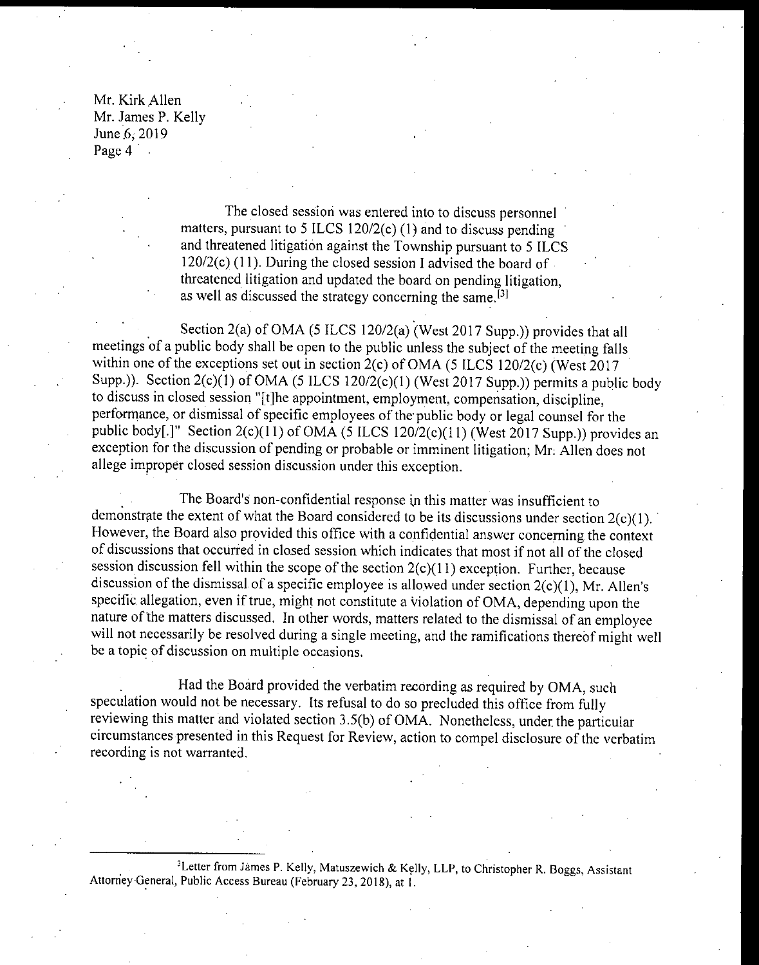Mr. Kirk Allen Mr. James P. Kelly June 6, 2019 Page 4 .

> The closed session was entered into to discuss personnel matters, pursuant to 5 ILCS 120/2(c)  $(1)$  and to discuss pending and threatened litigation against the Township pursuant to <sup>5</sup> ILCS  $120/2(c)$  (11). During the closed session I advised the board of threatened litigation and updated the board on pending litigation, as well as discussed the strategy concerning the same.<sup>[3]</sup>

Section 2(a) of OMA (5 ILCS 120/2(a) (West 2017 Supp.)) provides that all meetings of a public body shall be open to the public unless the subject of the meeting falls within one of the exceptions set out in section  $2(c)$  of OMA (5 ILCS 120/2 $(c)$  (West 2017 Supp.)). Section  $2(c)(1)$  of OMA (5 ILCS 120/2( $c$ )(1) (West 2017 Supp.)) permits a public body to discuss in closed session "[t]he appointment, employment, compensation, discipline, performance, or dismissal of specific employees of the public body or legal counsel for the public body[.]" Section 2(c)(11) of OMA (5 ILCS 120/2(c)(11) (West 2017 Supp.)) provides an exception for the discussion of pending or probable or imminent litigation; Mr. Allen does not allege improper closed session discussion under this exception.

The Board's non-confidential response in this matter was insufficient to demonstrate the extent of what the Board considered to be its discussions under section  $2(c)(1)$ . However, the Board also provided this office with a confidential answer concerning the context of discussions that occurred in closed session which indicates that most if not all of the closed session discussion fell within the scope of the section  $2(c)(11)$  exception. Further, because discussion of the dismissal of a specific employee is allowed under section  $2(c)(1)$ , Mr. Allen's specific allegation, even if true, might not constitute a violation of OMA, depending upon the nature ofthe matters discussed. In other words, matters related to the dismissal of an employee will not necessarily be resolved during a single meeting, and the ramifications thereof might well be <sup>a</sup> topic of discussion on multiple occasions.

Had the Board provided the verbatim recording as required by OMA, such speculation would not be necessary. Its refusal to do so precluded this office from fully reviewing this matter and violated section 3.5(b) of OMA. Nonetheless, under the particular circumstances presented in this Request for Review, action to compel disclosure of the verbatim recording is not warranted.

<sup>3</sup>Letter from James P. Kelly, Matuszewich & Kelly, LLP, to Christopher R. Boggs, Assistant Attorney General, Public Access Bureau (February 23, 2018), at 1.